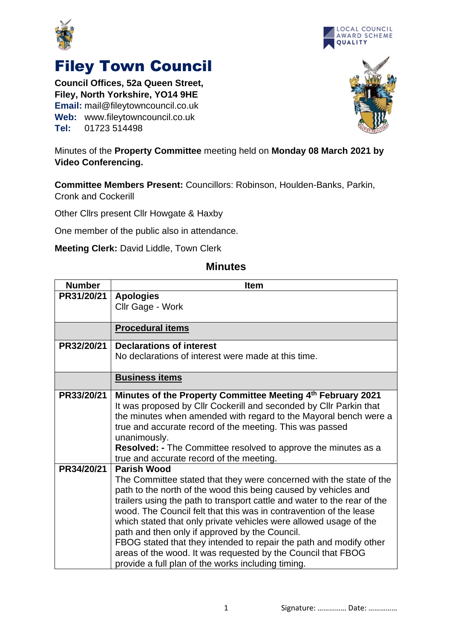



## Filey Town Council

**Council Offices, 52a Queen Street, Filey, North Yorkshire, YO14 9HE Email:** mail@fileytowncouncil.co.uk **Web:** www.fileytowncouncil.co.uk **Tel:** 01723 514498



## Minutes of the **Property Committee** meeting held on **Monday 08 March 2021 by Video Conferencing.**

**Committee Members Present:** Councillors: Robinson, Houlden-Banks, Parkin, Cronk and Cockerill

Other Cllrs present Cllr Howgate & Haxby

One member of the public also in attendance.

**Meeting Clerk:** David Liddle, Town Clerk

## **Minutes**

| <b>Number</b> | <b>Item</b>                                                                                                                                    |
|---------------|------------------------------------------------------------------------------------------------------------------------------------------------|
| PR31/20/21    | <b>Apologies</b>                                                                                                                               |
|               | Cllr Gage - Work                                                                                                                               |
|               |                                                                                                                                                |
|               | <b>Procedural items</b>                                                                                                                        |
| PR32/20/21    | <b>Declarations of interest</b>                                                                                                                |
|               | No declarations of interest were made at this time.                                                                                            |
|               | <b>Business items</b>                                                                                                                          |
| PR33/20/21    | Minutes of the Property Committee Meeting 4th February 2021                                                                                    |
|               | It was proposed by Cllr Cockerill and seconded by Cllr Parkin that                                                                             |
|               | the minutes when amended with regard to the Mayoral bench were a                                                                               |
|               | true and accurate record of the meeting. This was passed                                                                                       |
|               | unanimously.                                                                                                                                   |
|               | Resolved: - The Committee resolved to approve the minutes as a                                                                                 |
|               | true and accurate record of the meeting.                                                                                                       |
| PR34/20/21    | <b>Parish Wood</b>                                                                                                                             |
|               | The Committee stated that they were concerned with the state of the                                                                            |
|               | path to the north of the wood this being caused by vehicles and                                                                                |
|               | trailers using the path to transport cattle and water to the rear of the<br>wood. The Council felt that this was in contravention of the lease |
|               | which stated that only private vehicles were allowed usage of the                                                                              |
|               | path and then only if approved by the Council.                                                                                                 |
|               | FBOG stated that they intended to repair the path and modify other                                                                             |
|               | areas of the wood. It was requested by the Council that FBOG                                                                                   |
|               | provide a full plan of the works including timing.                                                                                             |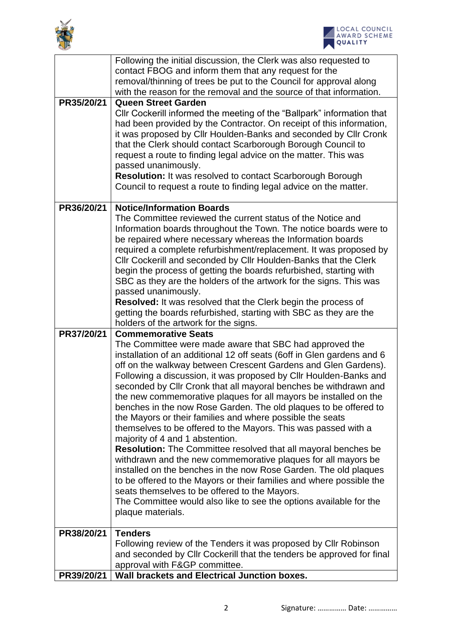



|            | Following the initial discussion, the Clerk was also requested to<br>contact FBOG and inform them that any request for the<br>removal/thinning of trees be put to the Council for approval along                                                                                                                                                                                                                                                                                                                                                                                                                                                                                                                                                                                                                                                                                                                                                                                                                                                                                                                       |
|------------|------------------------------------------------------------------------------------------------------------------------------------------------------------------------------------------------------------------------------------------------------------------------------------------------------------------------------------------------------------------------------------------------------------------------------------------------------------------------------------------------------------------------------------------------------------------------------------------------------------------------------------------------------------------------------------------------------------------------------------------------------------------------------------------------------------------------------------------------------------------------------------------------------------------------------------------------------------------------------------------------------------------------------------------------------------------------------------------------------------------------|
| PR35/20/21 | with the reason for the removal and the source of that information.<br><b>Queen Street Garden</b><br>Cllr Cockerill informed the meeting of the "Ballpark" information that<br>had been provided by the Contractor. On receipt of this information,<br>it was proposed by Cllr Houlden-Banks and seconded by Cllr Cronk<br>that the Clerk should contact Scarborough Borough Council to<br>request a route to finding legal advice on the matter. This was<br>passed unanimously.                                                                                                                                                                                                                                                                                                                                                                                                                                                                                                                                                                                                                                      |
|            | <b>Resolution:</b> It was resolved to contact Scarborough Borough<br>Council to request a route to finding legal advice on the matter.                                                                                                                                                                                                                                                                                                                                                                                                                                                                                                                                                                                                                                                                                                                                                                                                                                                                                                                                                                                 |
| PR36/20/21 | <b>Notice/Information Boards</b><br>The Committee reviewed the current status of the Notice and<br>Information boards throughout the Town. The notice boards were to<br>be repaired where necessary whereas the Information boards<br>required a complete refurbishment/replacement. It was proposed by<br>Cllr Cockerill and seconded by Cllr Houlden-Banks that the Clerk<br>begin the process of getting the boards refurbished, starting with<br>SBC as they are the holders of the artwork for the signs. This was<br>passed unanimously.<br>Resolved: It was resolved that the Clerk begin the process of<br>getting the boards refurbished, starting with SBC as they are the<br>holders of the artwork for the signs.                                                                                                                                                                                                                                                                                                                                                                                          |
| PR37/20/21 | <b>Commemorative Seats</b><br>The Committee were made aware that SBC had approved the<br>installation of an additional 12 off seats (6off in Glen gardens and 6<br>off on the walkway between Crescent Gardens and Glen Gardens).<br>Following a discussion, it was proposed by Cllr Houlden-Banks and<br>seconded by Cllr Cronk that all mayoral benches be withdrawn and<br>the new commemorative plaques for all mayors be installed on the<br>benches in the now Rose Garden. The old plaques to be offered to<br>the Mayors or their families and where possible the seats<br>themselves to be offered to the Mayors. This was passed with a<br>majority of 4 and 1 abstention.<br><b>Resolution:</b> The Committee resolved that all mayoral benches be<br>withdrawn and the new commemorative plaques for all mayors be<br>installed on the benches in the now Rose Garden. The old plaques<br>to be offered to the Mayors or their families and where possible the<br>seats themselves to be offered to the Mayors.<br>The Committee would also like to see the options available for the<br>plaque materials. |
| PR38/20/21 | <b>Tenders</b><br>Following review of the Tenders it was proposed by Cllr Robinson<br>and seconded by Cllr Cockerill that the tenders be approved for final<br>approval with F&GP committee.                                                                                                                                                                                                                                                                                                                                                                                                                                                                                                                                                                                                                                                                                                                                                                                                                                                                                                                           |
|            | Wall brackets and Electrical Junction boxes.                                                                                                                                                                                                                                                                                                                                                                                                                                                                                                                                                                                                                                                                                                                                                                                                                                                                                                                                                                                                                                                                           |